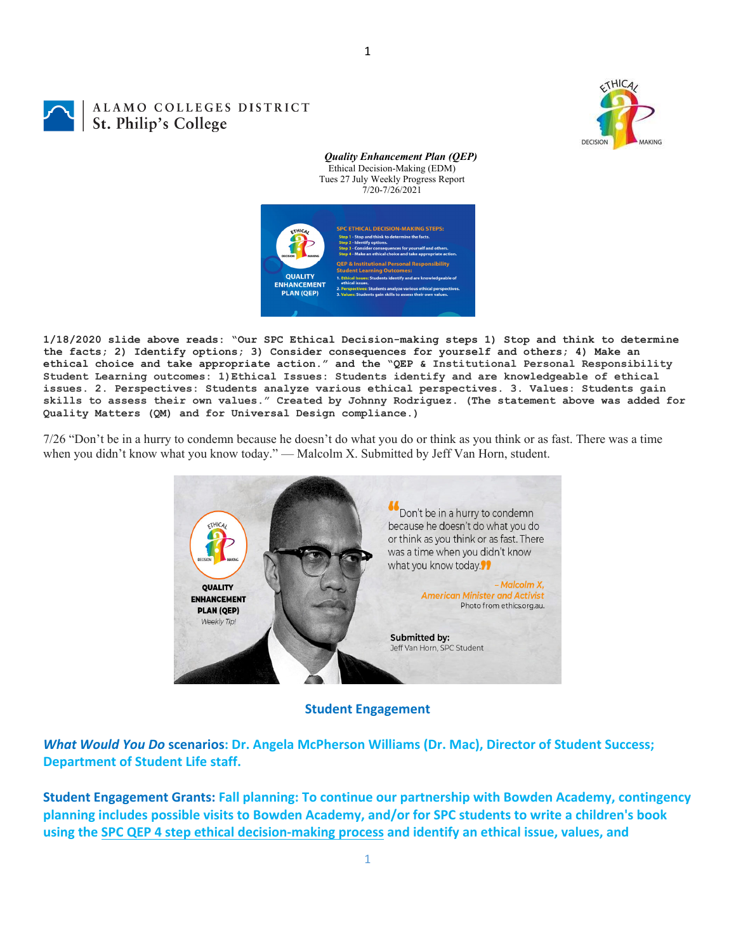

## ALAMO COLLEGES DISTRICT St. Philip's College

*Quality Enhancement Plan (QEP)* Ethical Decision-Making (EDM) Tues 27 July Weekly Progress Report 7/20-7/26/2021



**1/18/2020 slide above reads: "Our SPC Ethical Decision-making steps 1) Stop and think to determine the facts; 2) Identify options; 3) Consider consequences for yourself and others; 4) Make an ethical choice and take appropriate action." and the "QEP & Institutional Personal Responsibility Student Learning outcomes: 1)Ethical Issues: Students identify and are knowledgeable of ethical issues. 2. Perspectives: Students analyze various ethical perspectives. 3. Values: Students gain skills to assess their own values." Created by Johnny Rodriguez. (The statement above was added for Quality Matters (QM) and for Universal Design compliance.)**

7/26 "Don't be in a hurry to condemn because he doesn't do what you do or think as you think or as fast. There was a time when you didn't know what you know today." — Malcolm X. Submitted by Jeff Van Horn, student.



**Student Engagement**

*What Would You Do* **scenarios: Dr. Angela McPherson Williams (Dr. Mac), Director of Student Success; Department of Student Life staff.**

**Student Engagement Grants: Fall planning: To continue our partnership with Bowden Academy, contingency planning includes possible visits to Bowden Academy, and/or for SPC students to write a children's book** using the SPC QEP 4 step ethical decision-making process and identify an ethical issue, values, and